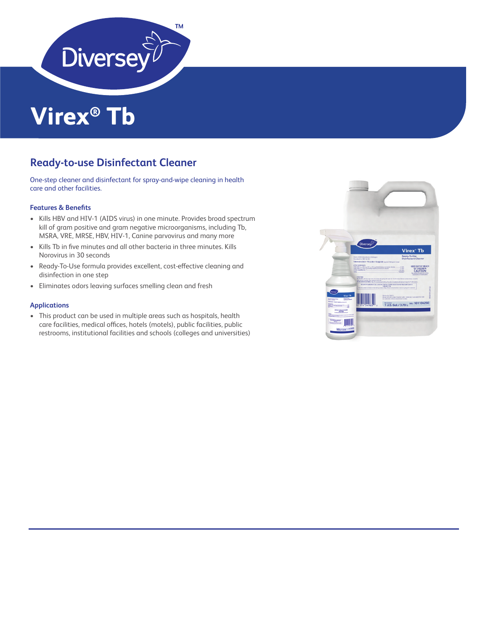

# **Virex® Tb**

# **Ready-to-use Disinfectant Cleaner**

One-step cleaner and disinfectant for spray-and-wipe cleaning in health care and other facilities.

### **Features & Benefits**

- Kills HBV and HIV-1 (AIDS virus) in one minute. Provides broad spectrum kill of gram positive and gram negative microorganisms, including Tb, MSRA, VRE, MRSE, HBV, HIV-1, Canine parvovirus and many more
- Kills Tb in five minutes and all other bacteria in three minutes. Kills Norovirus in 30 seconds
- Ready-To-Use formula provides excellent, cost-effective cleaning and disinfection in one step
- Eliminates odors leaving surfaces smelling clean and fresh

## **Applications**

• This product can be used in multiple areas such as hospitals, health care facilities, medical offices, hotels (motels), public facilities, public restrooms, institutional facilities and schools (colleges and universities)